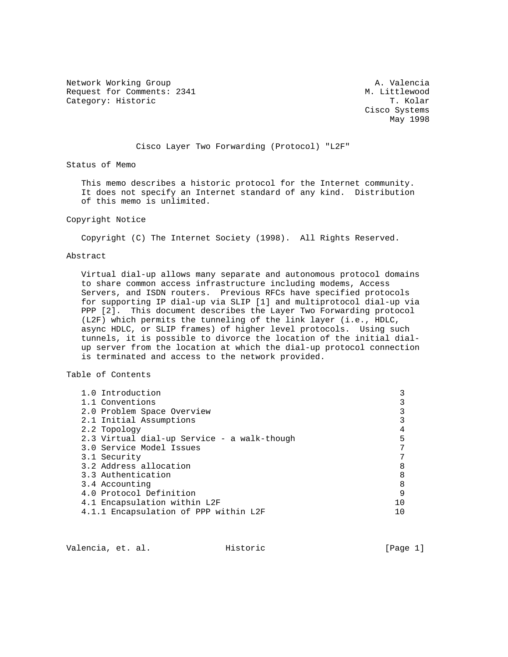Network Working Group and A. Valencia Request for Comments: 2341 M. Littlewood Category: Historic Category: Historic

 Cisco Systems May 1998

# Cisco Layer Two Forwarding (Protocol) "L2F"

Status of Memo

 This memo describes a historic protocol for the Internet community. It does not specify an Internet standard of any kind. Distribution of this memo is unlimited.

### Copyright Notice

Copyright (C) The Internet Society (1998). All Rights Reserved.

### Abstract

 Virtual dial-up allows many separate and autonomous protocol domains to share common access infrastructure including modems, Access Servers, and ISDN routers. Previous RFCs have specified protocols for supporting IP dial-up via SLIP [1] and multiprotocol dial-up via PPP [2]. This document describes the Layer Two Forwarding protocol (L2F) which permits the tunneling of the link layer (i.e., HDLC, async HDLC, or SLIP frames) of higher level protocols. Using such tunnels, it is possible to divorce the location of the initial dial up server from the location at which the dial-up protocol connection is terminated and access to the network provided.

# Table of Contents

| 1.0 Introduction                            |   |
|---------------------------------------------|---|
| 1.1 Conventions                             |   |
| 2.0 Problem Space Overview                  |   |
| 2.1 Initial Assumptions                     |   |
| 2.2 Topology                                |   |
| 2.3 Virtual dial-up Service - a walk-though |   |
| 3.0 Service Model Issues                    |   |
| 3.1 Security                                |   |
| 3.2 Address allocation                      |   |
| 3.3 Authentication                          | 8 |
| 3.4 Accounting                              | 8 |
| 4.0 Protocol Definition                     | 9 |
| 4.1 Encapsulation within L2F                |   |
| 4.1.1 Encapsulation of PPP within L2F       |   |

Valencia, et. al. Historic [Page 1]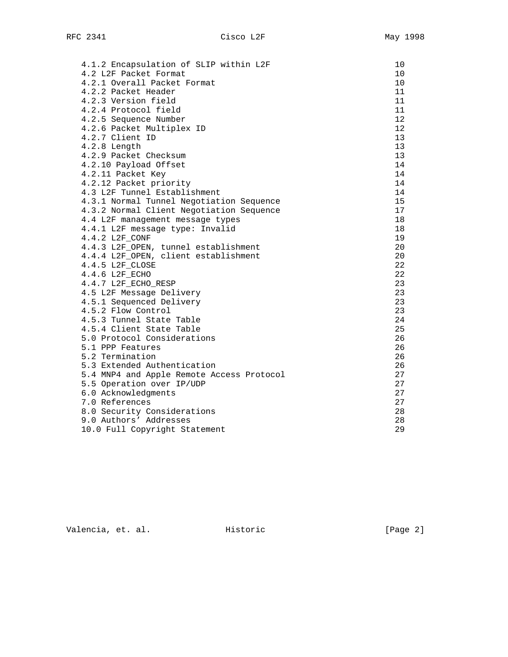| 4.1.2 Encapsulation of SLIP within L2F    | 10              |
|-------------------------------------------|-----------------|
| 4.2 L2F Packet Format                     | 10              |
| 4.2.1 Overall Packet Format               | 10              |
| 4.2.2 Packet Header                       | 11              |
| 4.2.3 Version field                       | 11              |
| 4.2.4 Protocol field                      | 11              |
| 4.2.5 Sequence Number                     | 12              |
| 4.2.6 Packet Multiplex ID                 | 12 <sup>°</sup> |
| 4.2.7 Client ID                           | 13              |
| $4.2.8$ Length                            | 13              |
| 4.2.9 Packet Checksum                     | 13              |
| 4.2.10 Payload Offset                     | 14              |
| 4.2.11 Packet Key                         | 14              |
| 4.2.12 Packet priority                    | 14              |
| 4.3 L2F Tunnel Establishment              | 14              |
| 4.3.1 Normal Tunnel Negotiation Sequence  | 15              |
| 4.3.2 Normal Client Negotiation Sequence  | 17              |
| 4.4 L2F management message types          | 18              |
| 4.4.1 L2F message type: Invalid           | 18              |
| 4.4.2 L2F_CONF                            | 19              |
| 4.4.3 L2F_OPEN, tunnel establishment      | 20              |
| 4.4.4 L2F_OPEN, client establishment      | 20              |
| 4.4.5 L2F_CLOSE                           | 22              |
| 4.4.6 L2F_ECHO                            | 22              |
| 4.4.7 L2F_ECHO_RESP                       | 23              |
| 4.5 L2F Message Delivery                  | 23              |
| 4.5.1 Sequenced Delivery                  | 23              |
| 4.5.2 Flow Control                        | 23              |
| 4.5.3 Tunnel State Table                  | 24              |
| 4.5.4 Client State Table                  | 25              |
| 5.0 Protocol Considerations               | 26              |
| 5.1 PPP Features                          | 26              |
| 5.2 Termination                           | 26              |
| 5.3 Extended Authentication               | 26              |
| 5.4 MNP4 and Apple Remote Access Protocol | 27              |
| 5.5 Operation over IP/UDP                 | 27              |
| 6.0 Acknowledgments                       | 27              |
| 7.0 References                            | 27              |
| 8.0 Security Considerations               | 28              |
| 9.0 Authors' Addresses                    | 28              |
| 10.0 Full Copyright Statement             | 29              |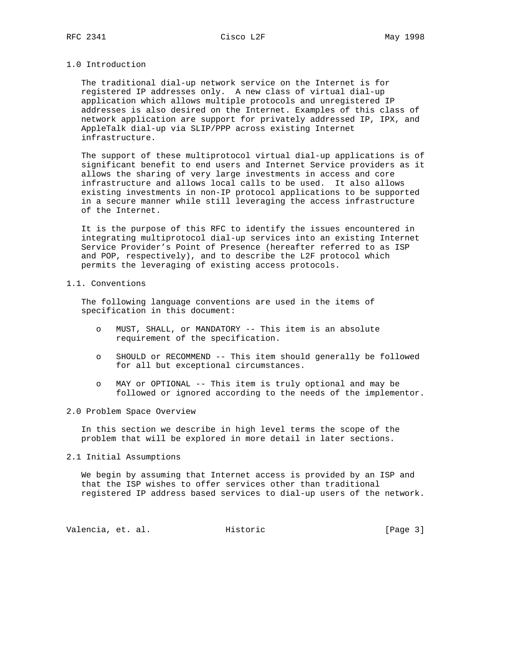### 1.0 Introduction

 The traditional dial-up network service on the Internet is for registered IP addresses only. A new class of virtual dial-up application which allows multiple protocols and unregistered IP addresses is also desired on the Internet. Examples of this class of network application are support for privately addressed IP, IPX, and AppleTalk dial-up via SLIP/PPP across existing Internet infrastructure.

 The support of these multiprotocol virtual dial-up applications is of significant benefit to end users and Internet Service providers as it allows the sharing of very large investments in access and core infrastructure and allows local calls to be used. It also allows existing investments in non-IP protocol applications to be supported in a secure manner while still leveraging the access infrastructure of the Internet.

 It is the purpose of this RFC to identify the issues encountered in integrating multiprotocol dial-up services into an existing Internet Service Provider's Point of Presence (hereafter referred to as ISP and POP, respectively), and to describe the L2F protocol which permits the leveraging of existing access protocols.

### 1.1. Conventions

 The following language conventions are used in the items of specification in this document:

- o MUST, SHALL, or MANDATORY -- This item is an absolute requirement of the specification.
- o SHOULD or RECOMMEND -- This item should generally be followed for all but exceptional circumstances.
- o MAY or OPTIONAL -- This item is truly optional and may be followed or ignored according to the needs of the implementor.

### 2.0 Problem Space Overview

 In this section we describe in high level terms the scope of the problem that will be explored in more detail in later sections.

#### 2.1 Initial Assumptions

 We begin by assuming that Internet access is provided by an ISP and that the ISP wishes to offer services other than traditional registered IP address based services to dial-up users of the network.

Valencia, et. al. Historic [Page 3]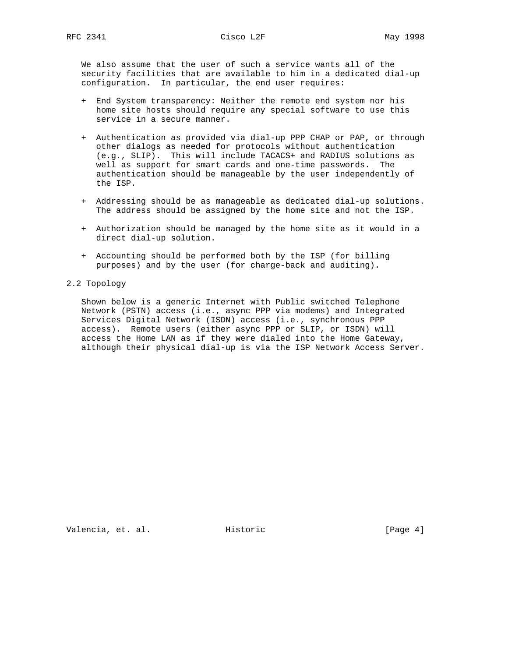We also assume that the user of such a service wants all of the

 security facilities that are available to him in a dedicated dial-up configuration. In particular, the end user requires:

- + End System transparency: Neither the remote end system nor his home site hosts should require any special software to use this service in a secure manner.
- + Authentication as provided via dial-up PPP CHAP or PAP, or through other dialogs as needed for protocols without authentication (e.g., SLIP). This will include TACACS+ and RADIUS solutions as well as support for smart cards and one-time passwords. The authentication should be manageable by the user independently of the ISP.
- + Addressing should be as manageable as dedicated dial-up solutions. The address should be assigned by the home site and not the ISP.
- + Authorization should be managed by the home site as it would in a direct dial-up solution.
- + Accounting should be performed both by the ISP (for billing purposes) and by the user (for charge-back and auditing).

# 2.2 Topology

 Shown below is a generic Internet with Public switched Telephone Network (PSTN) access (i.e., async PPP via modems) and Integrated Services Digital Network (ISDN) access (i.e., synchronous PPP access). Remote users (either async PPP or SLIP, or ISDN) will access the Home LAN as if they were dialed into the Home Gateway, although their physical dial-up is via the ISP Network Access Server.

Valencia, et. al. Historic [Page 4]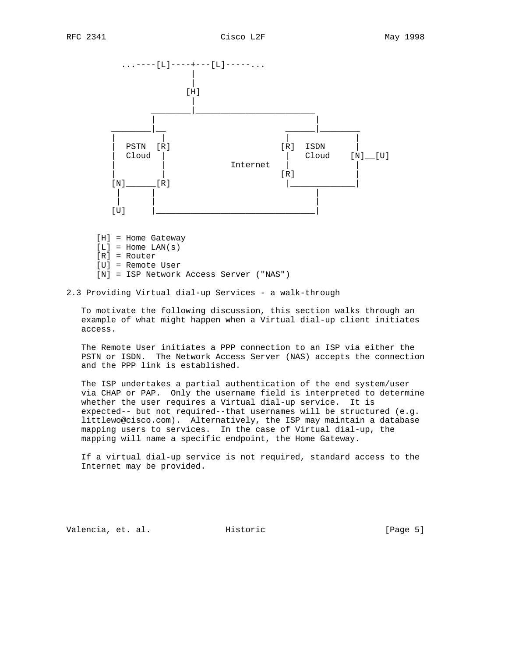

- [H] = Home Gateway
- $[L]$  = Home LAN(s)
- [R] = Router
- [U] = Remote User
- [N] = ISP Network Access Server ("NAS")
- 2.3 Providing Virtual dial-up Services a walk-through

 To motivate the following discussion, this section walks through an example of what might happen when a Virtual dial-up client initiates access.

 The Remote User initiates a PPP connection to an ISP via either the PSTN or ISDN. The Network Access Server (NAS) accepts the connection and the PPP link is established.

 The ISP undertakes a partial authentication of the end system/user via CHAP or PAP. Only the username field is interpreted to determine whether the user requires a Virtual dial-up service. It is expected-- but not required--that usernames will be structured (e.g. littlewo@cisco.com). Alternatively, the ISP may maintain a database mapping users to services. In the case of Virtual dial-up, the mapping will name a specific endpoint, the Home Gateway.

 If a virtual dial-up service is not required, standard access to the Internet may be provided.

Valencia, et. al. Historic [Page 5]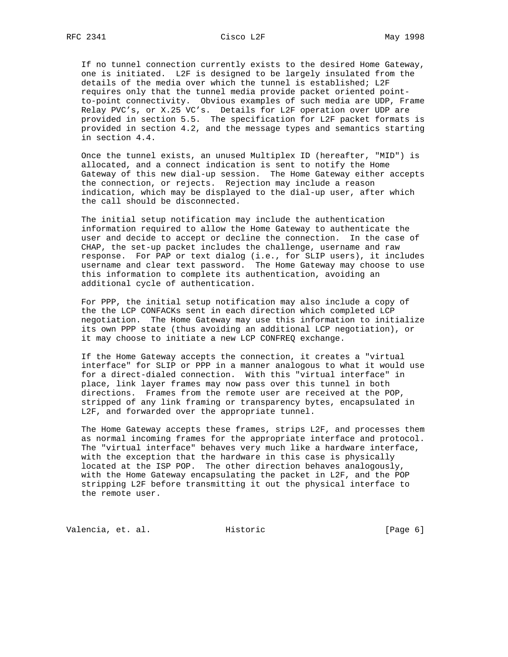If no tunnel connection currently exists to the desired Home Gateway, one is initiated. L2F is designed to be largely insulated from the details of the media over which the tunnel is established; L2F requires only that the tunnel media provide packet oriented point to-point connectivity. Obvious examples of such media are UDP, Frame Relay PVC's, or X.25 VC's. Details for L2F operation over UDP are provided in section 5.5. The specification for L2F packet formats is provided in section 4.2, and the message types and semantics starting in section 4.4.

 Once the tunnel exists, an unused Multiplex ID (hereafter, "MID") is allocated, and a connect indication is sent to notify the Home Gateway of this new dial-up session. The Home Gateway either accepts the connection, or rejects. Rejection may include a reason indication, which may be displayed to the dial-up user, after which the call should be disconnected.

 The initial setup notification may include the authentication information required to allow the Home Gateway to authenticate the user and decide to accept or decline the connection. In the case of CHAP, the set-up packet includes the challenge, username and raw response. For PAP or text dialog (i.e., for SLIP users), it includes username and clear text password. The Home Gateway may choose to use this information to complete its authentication, avoiding an additional cycle of authentication.

 For PPP, the initial setup notification may also include a copy of the the LCP CONFACKs sent in each direction which completed LCP negotiation. The Home Gateway may use this information to initialize its own PPP state (thus avoiding an additional LCP negotiation), or it may choose to initiate a new LCP CONFREQ exchange.

 If the Home Gateway accepts the connection, it creates a "virtual interface" for SLIP or PPP in a manner analogous to what it would use for a direct-dialed connection. With this "virtual interface" in place, link layer frames may now pass over this tunnel in both directions. Frames from the remote user are received at the POP, stripped of any link framing or transparency bytes, encapsulated in L2F, and forwarded over the appropriate tunnel.

 The Home Gateway accepts these frames, strips L2F, and processes them as normal incoming frames for the appropriate interface and protocol. The "virtual interface" behaves very much like a hardware interface, with the exception that the hardware in this case is physically located at the ISP POP. The other direction behaves analogously, with the Home Gateway encapsulating the packet in L2F, and the POP stripping L2F before transmitting it out the physical interface to the remote user.

Valencia, et. al. Historic [Page 6]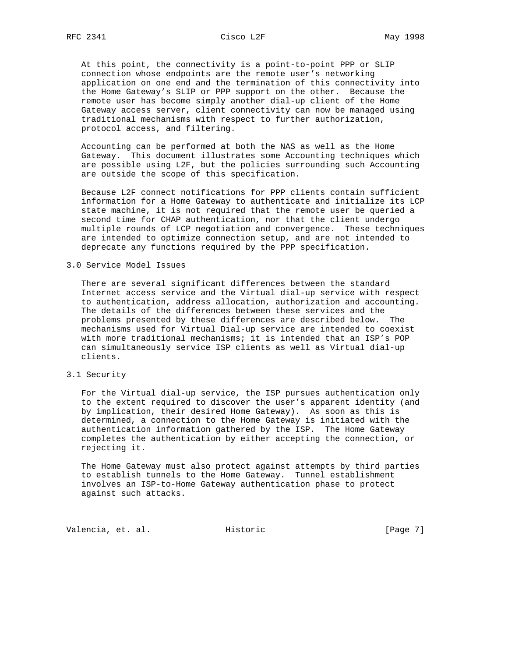At this point, the connectivity is a point-to-point PPP or SLIP connection whose endpoints are the remote user's networking application on one end and the termination of this connectivity into the Home Gateway's SLIP or PPP support on the other. Because the remote user has become simply another dial-up client of the Home Gateway access server, client connectivity can now be managed using traditional mechanisms with respect to further authorization, protocol access, and filtering.

 Accounting can be performed at both the NAS as well as the Home Gateway. This document illustrates some Accounting techniques which are possible using L2F, but the policies surrounding such Accounting are outside the scope of this specification.

 Because L2F connect notifications for PPP clients contain sufficient information for a Home Gateway to authenticate and initialize its LCP state machine, it is not required that the remote user be queried a second time for CHAP authentication, nor that the client undergo multiple rounds of LCP negotiation and convergence. These techniques are intended to optimize connection setup, and are not intended to deprecate any functions required by the PPP specification.

### 3.0 Service Model Issues

 There are several significant differences between the standard Internet access service and the Virtual dial-up service with respect to authentication, address allocation, authorization and accounting. The details of the differences between these services and the problems presented by these differences are described below. The mechanisms used for Virtual Dial-up service are intended to coexist with more traditional mechanisms; it is intended that an ISP's POP can simultaneously service ISP clients as well as Virtual dial-up clients.

### 3.1 Security

 For the Virtual dial-up service, the ISP pursues authentication only to the extent required to discover the user's apparent identity (and by implication, their desired Home Gateway). As soon as this is determined, a connection to the Home Gateway is initiated with the authentication information gathered by the ISP. The Home Gateway completes the authentication by either accepting the connection, or rejecting it.

 The Home Gateway must also protect against attempts by third parties to establish tunnels to the Home Gateway. Tunnel establishment involves an ISP-to-Home Gateway authentication phase to protect against such attacks.

Valencia, et. al. Historic [Page 7]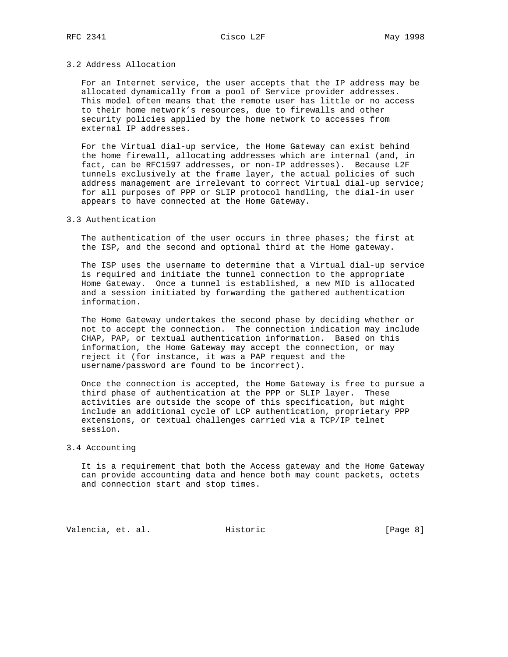### 3.2 Address Allocation

 For an Internet service, the user accepts that the IP address may be allocated dynamically from a pool of Service provider addresses. This model often means that the remote user has little or no access to their home network's resources, due to firewalls and other security policies applied by the home network to accesses from external IP addresses.

 For the Virtual dial-up service, the Home Gateway can exist behind the home firewall, allocating addresses which are internal (and, in fact, can be RFC1597 addresses, or non-IP addresses). Because L2F tunnels exclusively at the frame layer, the actual policies of such address management are irrelevant to correct Virtual dial-up service; for all purposes of PPP or SLIP protocol handling, the dial-in user appears to have connected at the Home Gateway.

### 3.3 Authentication

The authentication of the user occurs in three phases; the first at the ISP, and the second and optional third at the Home gateway.

 The ISP uses the username to determine that a Virtual dial-up service is required and initiate the tunnel connection to the appropriate Home Gateway. Once a tunnel is established, a new MID is allocated and a session initiated by forwarding the gathered authentication information.

 The Home Gateway undertakes the second phase by deciding whether or not to accept the connection. The connection indication may include CHAP, PAP, or textual authentication information. Based on this information, the Home Gateway may accept the connection, or may reject it (for instance, it was a PAP request and the username/password are found to be incorrect).

 Once the connection is accepted, the Home Gateway is free to pursue a third phase of authentication at the PPP or SLIP layer. These activities are outside the scope of this specification, but might include an additional cycle of LCP authentication, proprietary PPP extensions, or textual challenges carried via a TCP/IP telnet session.

#### 3.4 Accounting

 It is a requirement that both the Access gateway and the Home Gateway can provide accounting data and hence both may count packets, octets and connection start and stop times.

Valencia, et. al. Historic [Page 8]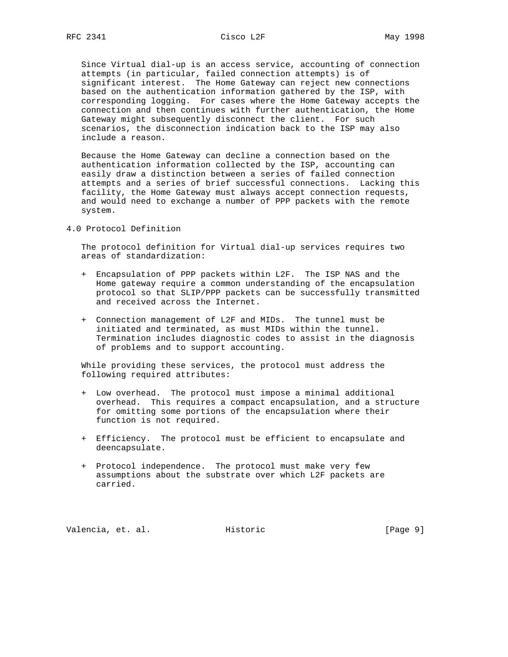Since Virtual dial-up is an access service, accounting of connection attempts (in particular, failed connection attempts) is of significant interest. The Home Gateway can reject new connections based on the authentication information gathered by the ISP, with corresponding logging. For cases where the Home Gateway accepts the connection and then continues with further authentication, the Home Gateway might subsequently disconnect the client. For such scenarios, the disconnection indication back to the ISP may also include a reason.

 Because the Home Gateway can decline a connection based on the authentication information collected by the ISP, accounting can easily draw a distinction between a series of failed connection attempts and a series of brief successful connections. Lacking this facility, the Home Gateway must always accept connection requests, and would need to exchange a number of PPP packets with the remote system.

4.0 Protocol Definition

 The protocol definition for Virtual dial-up services requires two areas of standardization:

- + Encapsulation of PPP packets within L2F. The ISP NAS and the Home gateway require a common understanding of the encapsulation protocol so that SLIP/PPP packets can be successfully transmitted and received across the Internet.
- + Connection management of L2F and MIDs. The tunnel must be initiated and terminated, as must MIDs within the tunnel. Termination includes diagnostic codes to assist in the diagnosis of problems and to support accounting.

 While providing these services, the protocol must address the following required attributes:

- + Low overhead. The protocol must impose a minimal additional overhead. This requires a compact encapsulation, and a structure for omitting some portions of the encapsulation where their function is not required.
- + Efficiency. The protocol must be efficient to encapsulate and deencapsulate.
- + Protocol independence. The protocol must make very few assumptions about the substrate over which L2F packets are carried.

Valencia, et. al. Historic [Page 9]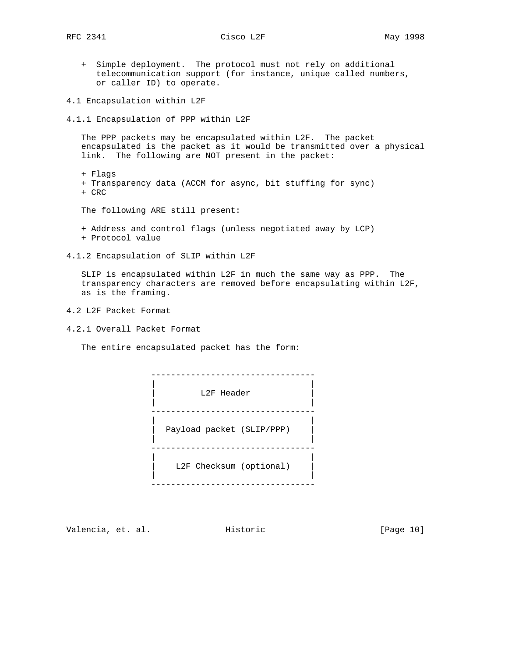- + Simple deployment. The protocol must not rely on additional telecommunication support (for instance, unique called numbers, or caller ID) to operate.
- 4.1 Encapsulation within L2F
- 4.1.1 Encapsulation of PPP within L2F

 The PPP packets may be encapsulated within L2F. The packet encapsulated is the packet as it would be transmitted over a physical link. The following are NOT present in the packet:

- + Flags + Transparency data (ACCM for async, bit stuffing for sync) + CRC
- The following ARE still present:
- + Address and control flags (unless negotiated away by LCP) + Protocol value
- 4.1.2 Encapsulation of SLIP within L2F

 SLIP is encapsulated within L2F in much the same way as PPP. The transparency characters are removed before encapsulating within L2F, as is the framing.

- 4.2 L2F Packet Format
- 4.2.1 Overall Packet Format

The entire encapsulated packet has the form:

 --------------------------------- | | L2F Header | | --------------------------------- | | | Payload packet (SLIP/PPP) | | | --------------------------------- | | | L2F Checksum (optional) | | | ---------------------------------

Valencia, et. al. Historic [Page 10]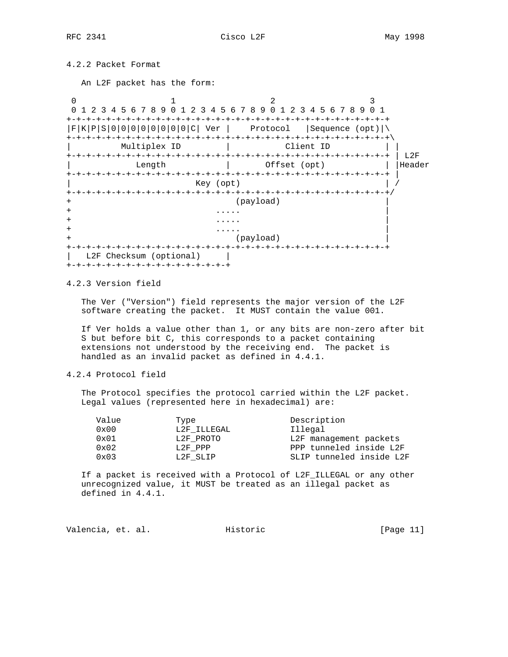RFC 2341 Cisco L2F COMPUTER May 1998

4.2.2 Packet Format

An L2F packet has the form:

0  $1$  2 3 0 1 2 3 4 5 6 7 8 9 0 1 2 3 4 5 6 7 8 9 0 1 2 3 4 5 6 7 8 9 0 1 +-+-+-+-+-+-+-+-+-+-+-+-+-+-+-+-+-+-+-+-+-+-+-+-+-+-+-+-+-+-+-+-+  $|F|K|P|S|0|0|0|0|0|0|0|0|C|$  Ver | Protocol |Sequence (opt)|\ +-+-+-+-+-+-+-+-+-+-+-+-+-+-+-+-+-+-+-+-+-+-+-+-+-+-+-+-+-+-+-+-+\ Multiplex ID | | +-+-+-+-+-+-+-+-+-+-+-+-+-+-+-+-+-+-+-+-+-+-+-+-+-+-+-+-+-+-+-+-+ | L2F Length  $|\hspace{.6cm}$  0ffset (opt)  $|\hspace{.6cm}$  | |Header +-+-+-+-+-+-+-+-+-+-+-+-+-+-+-+-+-+-+-+-+-+-+-+-+-+-+-+-+-+-+-+-+ | Key (opt) +-+-+-+-+-+-+-+-+-+-+-+-+-+-+-+-+-+-+-+-+-+-+-+-+-+-+-+-+-+-+-+-+/ (payload) + ..... | + ..... | + ..... | (payload) +-+-+-+-+-+-+-+-+-+-+-+-+-+-+-+-+-+-+-+-+-+-+-+-+-+-+-+-+-+-+-+-+ | L2F Checksum (optional) | +-+-+-+-+-+-+-+-+-+-+-+-+-+-+-+-+

4.2.3 Version field

 The Ver ("Version") field represents the major version of the L2F software creating the packet. It MUST contain the value 001.

 If Ver holds a value other than 1, or any bits are non-zero after bit S but before bit C, this corresponds to a packet containing extensions not understood by the receiving end. The packet is handled as an invalid packet as defined in 4.4.1.

# 4.2.4 Protocol field

 The Protocol specifies the protocol carried within the L2F packet. Legal values (represented here in hexadecimal) are:

| Type        | Description              |
|-------------|--------------------------|
| L2F ILLEGAL | Illegal                  |
| L2F PROTO   | L2F management packets   |
| L2F PPP     | PPP tunneled inside L2F  |
| L2F SLIP    | SLIP tunneled inside L2F |
|             |                          |

 If a packet is received with a Protocol of L2F\_ILLEGAL or any other unrecognized value, it MUST be treated as an illegal packet as defined in 4.4.1.

| Valencia, et. al.<br>Historic | [Page 11] |
|-------------------------------|-----------|
|-------------------------------|-----------|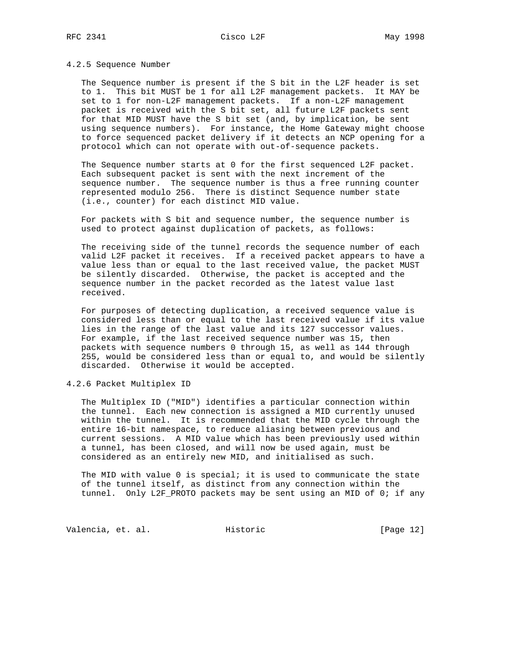### 4.2.5 Sequence Number

 The Sequence number is present if the S bit in the L2F header is set to 1. This bit MUST be 1 for all L2F management packets. It MAY be set to 1 for non-L2F management packets. If a non-L2F management packet is received with the S bit set, all future L2F packets sent for that MID MUST have the S bit set (and, by implication, be sent using sequence numbers). For instance, the Home Gateway might choose to force sequenced packet delivery if it detects an NCP opening for a protocol which can not operate with out-of-sequence packets.

 The Sequence number starts at 0 for the first sequenced L2F packet. Each subsequent packet is sent with the next increment of the sequence number. The sequence number is thus a free running counter represented modulo 256. There is distinct Sequence number state (i.e., counter) for each distinct MID value.

 For packets with S bit and sequence number, the sequence number is used to protect against duplication of packets, as follows:

 The receiving side of the tunnel records the sequence number of each valid L2F packet it receives. If a received packet appears to have a value less than or equal to the last received value, the packet MUST be silently discarded. Otherwise, the packet is accepted and the sequence number in the packet recorded as the latest value last received.

 For purposes of detecting duplication, a received sequence value is considered less than or equal to the last received value if its value lies in the range of the last value and its 127 successor values. For example, if the last received sequence number was 15, then packets with sequence numbers 0 through 15, as well as 144 through 255, would be considered less than or equal to, and would be silently discarded. Otherwise it would be accepted.

4.2.6 Packet Multiplex ID

 The Multiplex ID ("MID") identifies a particular connection within the tunnel. Each new connection is assigned a MID currently unused within the tunnel. It is recommended that the MID cycle through the entire 16-bit namespace, to reduce aliasing between previous and current sessions. A MID value which has been previously used within a tunnel, has been closed, and will now be used again, must be considered as an entirely new MID, and initialised as such.

The MID with value 0 is special; it is used to communicate the state of the tunnel itself, as distinct from any connection within the tunnel. Only L2F\_PROTO packets may be sent using an MID of 0; if any

Valencia, et. al. Historic [Page 12]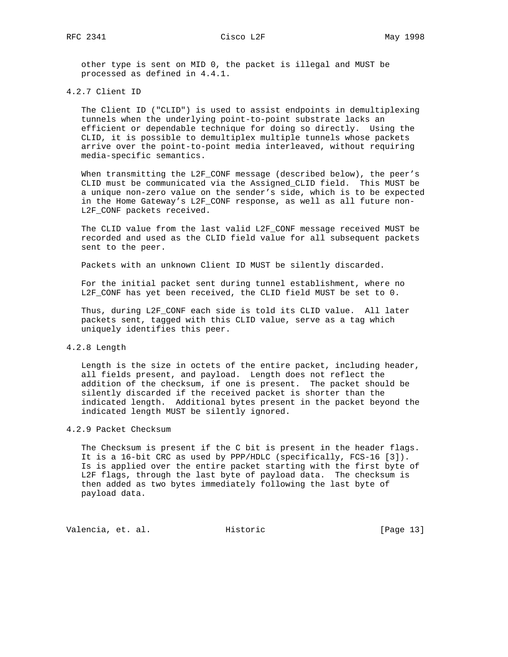other type is sent on MID 0, the packet is illegal and MUST be processed as defined in 4.4.1.

### 4.2.7 Client ID

 The Client ID ("CLID") is used to assist endpoints in demultiplexing tunnels when the underlying point-to-point substrate lacks an efficient or dependable technique for doing so directly. Using the CLID, it is possible to demultiplex multiple tunnels whose packets arrive over the point-to-point media interleaved, without requiring media-specific semantics.

 When transmitting the L2F\_CONF message (described below), the peer's CLID must be communicated via the Assigned\_CLID field. This MUST be a unique non-zero value on the sender's side, which is to be expected in the Home Gateway's L2F\_CONF response, as well as all future non- L2F\_CONF packets received.

 The CLID value from the last valid L2F\_CONF message received MUST be recorded and used as the CLID field value for all subsequent packets sent to the peer.

Packets with an unknown Client ID MUST be silently discarded.

 For the initial packet sent during tunnel establishment, where no L2F\_CONF has yet been received, the CLID field MUST be set to 0.

 Thus, during L2F\_CONF each side is told its CLID value. All later packets sent, tagged with this CLID value, serve as a tag which uniquely identifies this peer.

#### 4.2.8 Length

 Length is the size in octets of the entire packet, including header, all fields present, and payload. Length does not reflect the addition of the checksum, if one is present. The packet should be silently discarded if the received packet is shorter than the indicated length. Additional bytes present in the packet beyond the indicated length MUST be silently ignored.

### 4.2.9 Packet Checksum

 The Checksum is present if the C bit is present in the header flags. It is a 16-bit CRC as used by PPP/HDLC (specifically, FCS-16 [3]). Is is applied over the entire packet starting with the first byte of L2F flags, through the last byte of payload data. The checksum is then added as two bytes immediately following the last byte of payload data.

Valencia, et. al. Historic [Page 13]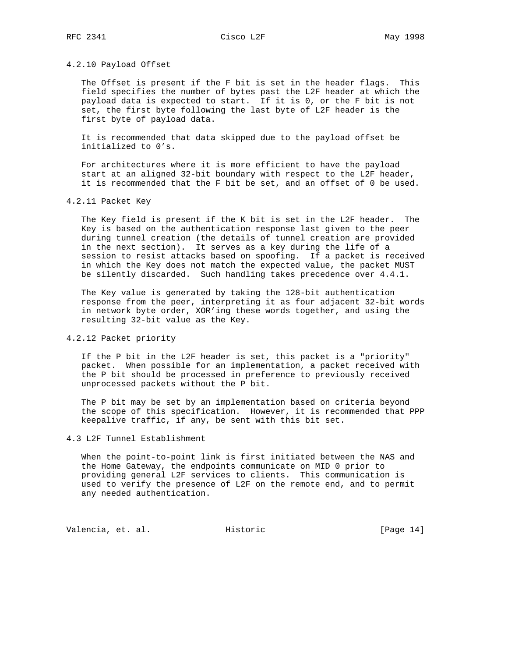#### 4.2.10 Payload Offset

 The Offset is present if the F bit is set in the header flags. This field specifies the number of bytes past the L2F header at which the payload data is expected to start. If it is 0, or the F bit is not set, the first byte following the last byte of L2F header is the first byte of payload data.

 It is recommended that data skipped due to the payload offset be initialized to 0's.

 For architectures where it is more efficient to have the payload start at an aligned 32-bit boundary with respect to the L2F header, it is recommended that the F bit be set, and an offset of 0 be used.

### 4.2.11 Packet Key

 The Key field is present if the K bit is set in the L2F header. The Key is based on the authentication response last given to the peer during tunnel creation (the details of tunnel creation are provided in the next section). It serves as a key during the life of a session to resist attacks based on spoofing. If a packet is received in which the Key does not match the expected value, the packet MUST be silently discarded. Such handling takes precedence over 4.4.1.

 The Key value is generated by taking the 128-bit authentication response from the peer, interpreting it as four adjacent 32-bit words in network byte order, XOR'ing these words together, and using the resulting 32-bit value as the Key.

# 4.2.12 Packet priority

 If the P bit in the L2F header is set, this packet is a "priority" packet. When possible for an implementation, a packet received with the P bit should be processed in preference to previously received unprocessed packets without the P bit.

 The P bit may be set by an implementation based on criteria beyond the scope of this specification. However, it is recommended that PPP keepalive traffic, if any, be sent with this bit set.

### 4.3 L2F Tunnel Establishment

 When the point-to-point link is first initiated between the NAS and the Home Gateway, the endpoints communicate on MID 0 prior to providing general L2F services to clients. This communication is used to verify the presence of L2F on the remote end, and to permit any needed authentication.

Valencia, et. al. Historic [Page 14]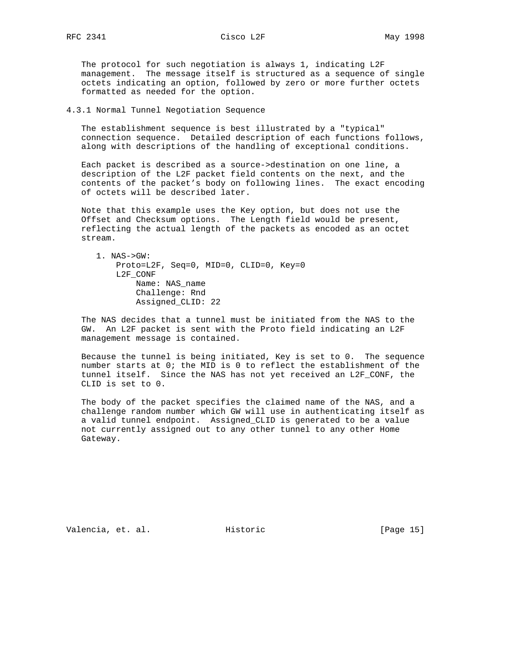The protocol for such negotiation is always 1, indicating L2F management. The message itself is structured as a sequence of single octets indicating an option, followed by zero or more further octets formatted as needed for the option.

4.3.1 Normal Tunnel Negotiation Sequence

 The establishment sequence is best illustrated by a "typical" connection sequence. Detailed description of each functions follows, along with descriptions of the handling of exceptional conditions.

 Each packet is described as a source->destination on one line, a description of the L2F packet field contents on the next, and the contents of the packet's body on following lines. The exact encoding of octets will be described later.

 Note that this example uses the Key option, but does not use the Offset and Checksum options. The Length field would be present, reflecting the actual length of the packets as encoded as an octet stream.

 1. NAS->GW: Proto=L2F, Seq=0, MID=0, CLID=0, Key=0 L2F\_CONF Name: NAS\_name Challenge: Rnd Assigned\_CLID: 22

 The NAS decides that a tunnel must be initiated from the NAS to the GW. An L2F packet is sent with the Proto field indicating an L2F management message is contained.

 Because the tunnel is being initiated, Key is set to 0. The sequence number starts at 0; the MID is 0 to reflect the establishment of the tunnel itself. Since the NAS has not yet received an L2F\_CONF, the CLID is set to 0.

 The body of the packet specifies the claimed name of the NAS, and a challenge random number which GW will use in authenticating itself as a valid tunnel endpoint. Assigned\_CLID is generated to be a value not currently assigned out to any other tunnel to any other Home Gateway.

Valencia, et. al. Historic [Page 15]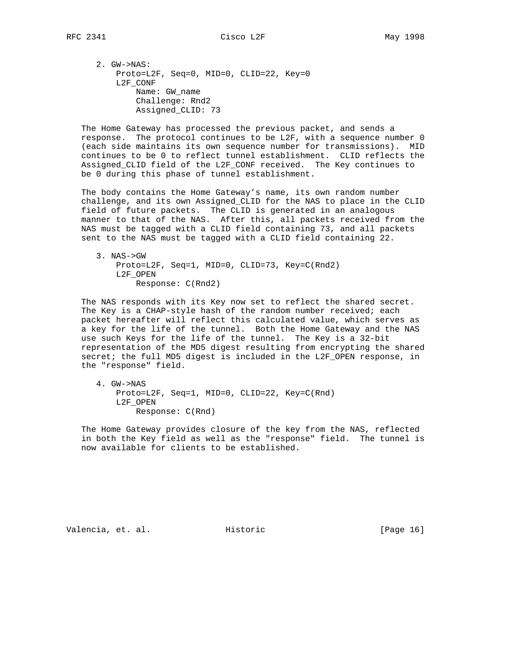Assigned\_CLID: 73

 The Home Gateway has processed the previous packet, and sends a response. The protocol continues to be L2F, with a sequence number 0 (each side maintains its own sequence number for transmissions). MID continues to be 0 to reflect tunnel establishment. CLID reflects the Assigned\_CLID field of the L2F\_CONF received. The Key continues to be 0 during this phase of tunnel establishment.

 The body contains the Home Gateway's name, its own random number challenge, and its own Assigned\_CLID for the NAS to place in the CLID field of future packets. The CLID is generated in an analogous manner to that of the NAS. After this, all packets received from the NAS must be tagged with a CLID field containing 73, and all packets sent to the NAS must be tagged with a CLID field containing 22.

```
 3. NAS->GW
Proto=L2F, Seq=1, MID=0, CLID=73, Key=C(Rnd2)
 L2F_OPEN
     Response: C(Rnd2)
```
 The NAS responds with its Key now set to reflect the shared secret. The Key is a CHAP-style hash of the random number received; each packet hereafter will reflect this calculated value, which serves as a key for the life of the tunnel. Both the Home Gateway and the NAS use such Keys for the life of the tunnel. The Key is a 32-bit representation of the MD5 digest resulting from encrypting the shared secret; the full MD5 digest is included in the L2F\_OPEN response, in the "response" field.

 4. GW->NAS Proto=L2F, Seq=1, MID=0, CLID=22, Key=C(Rnd) L2F\_OPEN Response: C(Rnd)

 The Home Gateway provides closure of the key from the NAS, reflected in both the Key field as well as the "response" field. The tunnel is now available for clients to be established.

Valencia, et. al. Historic [Page 16]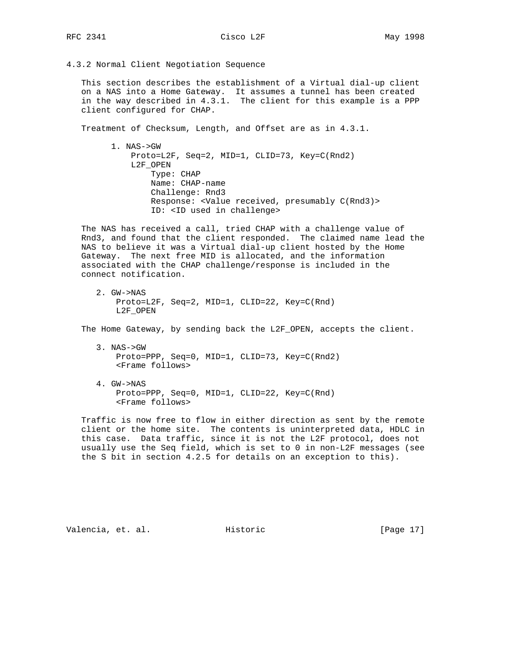4.3.2 Normal Client Negotiation Sequence

 This section describes the establishment of a Virtual dial-up client on a NAS into a Home Gateway. It assumes a tunnel has been created in the way described in 4.3.1. The client for this example is a PPP client configured for CHAP.

Treatment of Checksum, Length, and Offset are as in 4.3.1.

 1. NAS->GW Proto=L2F, Seq=2, MID=1, CLID=73, Key=C(Rnd2) L2F\_OPEN Type: CHAP Name: CHAP-name Challenge: Rnd3 Response: <Value received, presumably C(Rnd3)> ID: <ID used in challenge>

 The NAS has received a call, tried CHAP with a challenge value of Rnd3, and found that the client responded. The claimed name lead the NAS to believe it was a Virtual dial-up client hosted by the Home Gateway. The next free MID is allocated, and the information associated with the CHAP challenge/response is included in the connect notification.

 2. GW->NAS Proto=L2F, Seq=2, MID=1, CLID=22, Key=C(Rnd) L2F\_OPEN

The Home Gateway, by sending back the L2F\_OPEN, accepts the client.

- 3. NAS->GW Proto=PPP, Seq=0, MID=1, CLID=73, Key=C(Rnd2) <Frame follows>
- 4. GW->NAS Proto=PPP, Seq=0, MID=1, CLID=22, Key=C(Rnd) <Frame follows>

 Traffic is now free to flow in either direction as sent by the remote client or the home site. The contents is uninterpreted data, HDLC in this case. Data traffic, since it is not the L2F protocol, does not usually use the Seq field, which is set to 0 in non-L2F messages (see the S bit in section 4.2.5 for details on an exception to this).

Valencia, et. al. Historic [Page 17]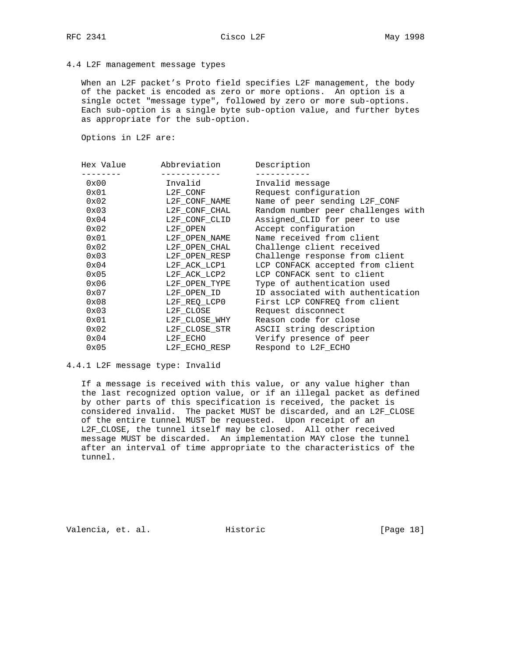### 4.4 L2F management message types

 When an L2F packet's Proto field specifies L2F management, the body of the packet is encoded as zero or more options. An option is a single octet "message type", followed by zero or more sub-options. Each sub-option is a single byte sub-option value, and further bytes as appropriate for the sub-option.

Options in L2F are:

| Hex Value<br>Abbreviation | Description                        |
|---------------------------|------------------------------------|
|                           |                                    |
|                           | Invalid message                    |
|                           | Request configuration              |
| L2F CONF NAME             | Name of peer sending L2F_CONF      |
| L2F CONF CHAL             | Random number peer challenges with |
| L2F CONF CLID             | Assigned CLID for peer to use      |
| L2F OPEN                  | Accept configuration               |
| L2F_OPEN_NAME             | Name received from client          |
| L2F OPEN CHAL             | Challenge client received          |
| L2F OPEN RESP             | Challenge response from client     |
| L2F ACK LCP1              | LCP CONFACK accepted from client   |
| L2F ACK LCP2              | LCP CONFACK sent to client         |
| L2F OPEN TYPE             | Type of authentication used        |
| L2F OPEN ID               | ID associated with authentication  |
| L2F REQ LCPO              | First LCP CONFREQ from client      |
| L2F CLOSE                 | Request disconnect                 |
| L2F CLOSE WHY             | Reason code for close              |
| L2F_CLOSE_STR             | ASCII string description           |
| L2F ECHO                  | Verify presence of peer            |
| L2F ECHO RESP             | Respond to L2F ECHO                |
|                           | Invalid<br>L2F CONF                |

### 4.4.1 L2F message type: Invalid

 If a message is received with this value, or any value higher than the last recognized option value, or if an illegal packet as defined by other parts of this specification is received, the packet is considered invalid. The packet MUST be discarded, and an L2F\_CLOSE of the entire tunnel MUST be requested. Upon receipt of an L2F\_CLOSE, the tunnel itself may be closed. All other received message MUST be discarded. An implementation MAY close the tunnel after an interval of time appropriate to the characteristics of the tunnel.

Valencia, et. al. Historic [Page 18]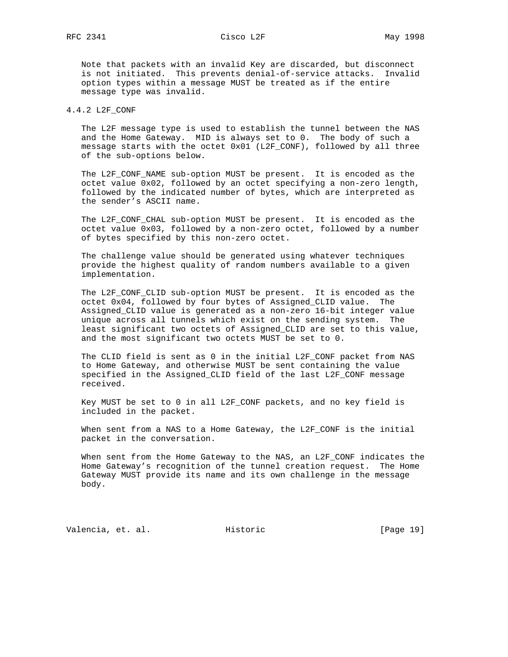Note that packets with an invalid Key are discarded, but disconnect is not initiated. This prevents denial-of-service attacks. Invalid option types within a message MUST be treated as if the entire message type was invalid.

### 4.4.2 L2F\_CONF

 The L2F message type is used to establish the tunnel between the NAS and the Home Gateway. MID is always set to 0. The body of such a message starts with the octet 0x01 (L2F CONF), followed by all three of the sub-options below.

 The L2F\_CONF\_NAME sub-option MUST be present. It is encoded as the octet value 0x02, followed by an octet specifying a non-zero length, followed by the indicated number of bytes, which are interpreted as the sender's ASCII name.

 The L2F\_CONF\_CHAL sub-option MUST be present. It is encoded as the octet value 0x03, followed by a non-zero octet, followed by a number of bytes specified by this non-zero octet.

 The challenge value should be generated using whatever techniques provide the highest quality of random numbers available to a given implementation.

 The L2F\_CONF\_CLID sub-option MUST be present. It is encoded as the octet 0x04, followed by four bytes of Assigned\_CLID value. The Assigned\_CLID value is generated as a non-zero 16-bit integer value unique across all tunnels which exist on the sending system. The least significant two octets of Assigned\_CLID are set to this value, and the most significant two octets MUST be set to 0.

 The CLID field is sent as 0 in the initial L2F\_CONF packet from NAS to Home Gateway, and otherwise MUST be sent containing the value specified in the Assigned\_CLID field of the last L2F\_CONF message received.

 Key MUST be set to 0 in all L2F\_CONF packets, and no key field is included in the packet.

 When sent from a NAS to a Home Gateway, the L2F\_CONF is the initial packet in the conversation.

 When sent from the Home Gateway to the NAS, an L2F\_CONF indicates the Home Gateway's recognition of the tunnel creation request. The Home Gateway MUST provide its name and its own challenge in the message body.

Valencia, et. al. Historic [Page 19]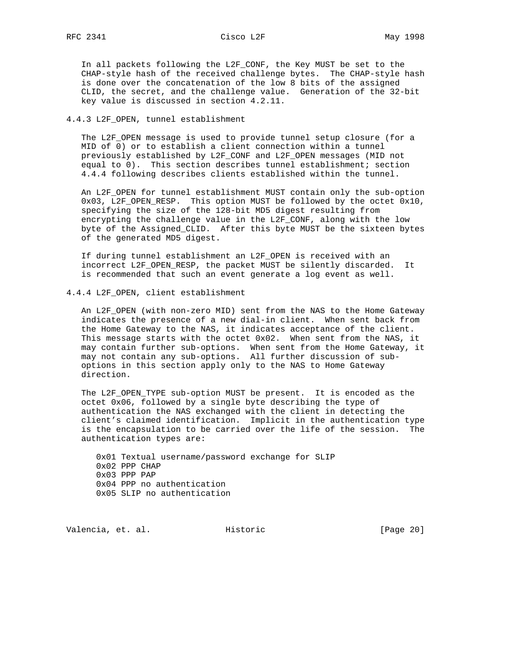In all packets following the L2F\_CONF, the Key MUST be set to the CHAP-style hash of the received challenge bytes. The CHAP-style hash is done over the concatenation of the low 8 bits of the assigned CLID, the secret, and the challenge value. Generation of the 32-bit key value is discussed in section 4.2.11.

### 4.4.3 L2F\_OPEN, tunnel establishment

 The L2F\_OPEN message is used to provide tunnel setup closure (for a MID of 0) or to establish a client connection within a tunnel previously established by L2F\_CONF and L2F\_OPEN messages (MID not equal to 0). This section describes tunnel establishment; section 4.4.4 following describes clients established within the tunnel.

 An L2F\_OPEN for tunnel establishment MUST contain only the sub-option 0x03, L2F\_OPEN\_RESP. This option MUST be followed by the octet 0x10, specifying the size of the 128-bit MD5 digest resulting from encrypting the challenge value in the L2F\_CONF, along with the low byte of the Assigned\_CLID. After this byte MUST be the sixteen bytes of the generated MD5 digest.

 If during tunnel establishment an L2F\_OPEN is received with an incorrect L2F\_OPEN\_RESP, the packet MUST be silently discarded. It is recommended that such an event generate a log event as well.

### 4.4.4 L2F\_OPEN, client establishment

An L2F OPEN (with non-zero MID) sent from the NAS to the Home Gateway indicates the presence of a new dial-in client. When sent back from the Home Gateway to the NAS, it indicates acceptance of the client. This message starts with the octet 0x02. When sent from the NAS, it may contain further sub-options. When sent from the Home Gateway, it may not contain any sub-options. All further discussion of sub options in this section apply only to the NAS to Home Gateway direction.

 The L2F\_OPEN\_TYPE sub-option MUST be present. It is encoded as the octet 0x06, followed by a single byte describing the type of authentication the NAS exchanged with the client in detecting the client's claimed identification. Implicit in the authentication type is the encapsulation to be carried over the life of the session. The authentication types are:

 0x01 Textual username/password exchange for SLIP 0x02 PPP CHAP 0x03 PPP PAP 0x04 PPP no authentication 0x05 SLIP no authentication

Valencia, et. al. Historic [Page 20]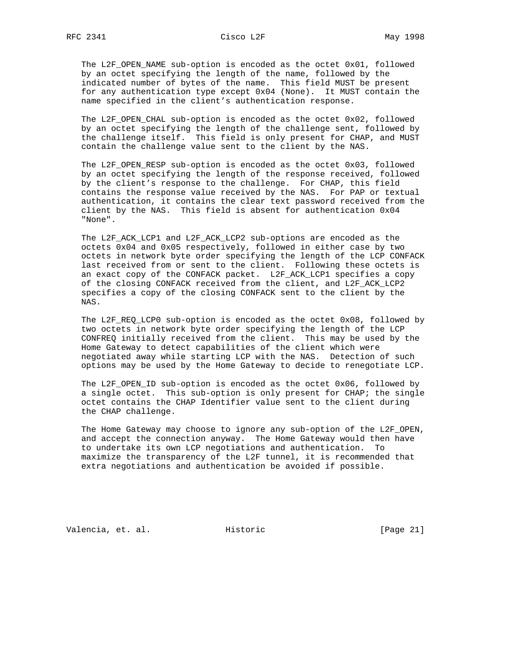The L2F\_OPEN\_NAME sub-option is encoded as the octet 0x01, followed by an octet specifying the length of the name, followed by the indicated number of bytes of the name. This field MUST be present for any authentication type except 0x04 (None). It MUST contain the name specified in the client's authentication response.

 The L2F\_OPEN\_CHAL sub-option is encoded as the octet 0x02, followed by an octet specifying the length of the challenge sent, followed by the challenge itself. This field is only present for CHAP, and MUST contain the challenge value sent to the client by the NAS.

 The L2F\_OPEN\_RESP sub-option is encoded as the octet 0x03, followed by an octet specifying the length of the response received, followed by the client's response to the challenge. For CHAP, this field contains the response value received by the NAS. For PAP or textual authentication, it contains the clear text password received from the client by the NAS. This field is absent for authentication 0x04 "None".

 The L2F\_ACK\_LCP1 and L2F\_ACK\_LCP2 sub-options are encoded as the octets 0x04 and 0x05 respectively, followed in either case by two octets in network byte order specifying the length of the LCP CONFACK last received from or sent to the client. Following these octets is an exact copy of the CONFACK packet. L2F\_ACK\_LCP1 specifies a copy of the closing CONFACK received from the client, and L2F\_ACK\_LCP2 specifies a copy of the closing CONFACK sent to the client by the NAS.

 The L2F\_REQ\_LCP0 sub-option is encoded as the octet 0x08, followed by two octets in network byte order specifying the length of the LCP CONFREQ initially received from the client. This may be used by the Home Gateway to detect capabilities of the client which were negotiated away while starting LCP with the NAS. Detection of such options may be used by the Home Gateway to decide to renegotiate LCP.

 The L2F\_OPEN\_ID sub-option is encoded as the octet 0x06, followed by a single octet. This sub-option is only present for CHAP; the single octet contains the CHAP Identifier value sent to the client during the CHAP challenge.

 The Home Gateway may choose to ignore any sub-option of the L2F\_OPEN, and accept the connection anyway. The Home Gateway would then have to undertake its own LCP negotiations and authentication. To maximize the transparency of the L2F tunnel, it is recommended that extra negotiations and authentication be avoided if possible.

Valencia, et. al. Historic [Page 21]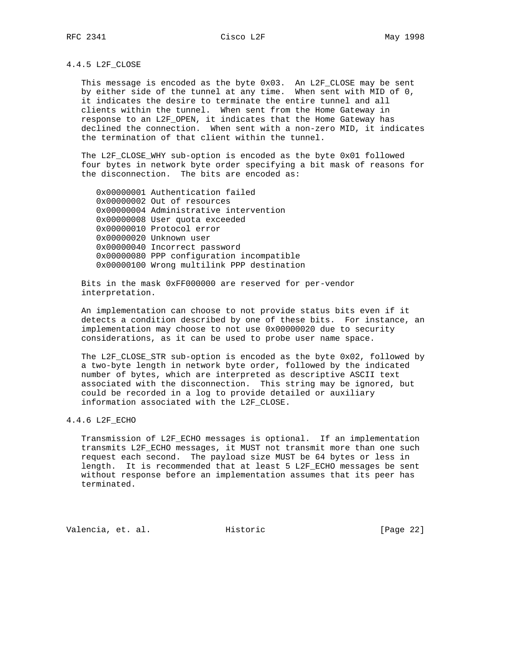### 4.4.5 L2F\_CLOSE

 This message is encoded as the byte 0x03. An L2F\_CLOSE may be sent by either side of the tunnel at any time. When sent with MID of 0, it indicates the desire to terminate the entire tunnel and all clients within the tunnel. When sent from the Home Gateway in response to an L2F\_OPEN, it indicates that the Home Gateway has declined the connection. When sent with a non-zero MID, it indicates the termination of that client within the tunnel.

 The L2F\_CLOSE\_WHY sub-option is encoded as the byte 0x01 followed four bytes in network byte order specifying a bit mask of reasons for the disconnection. The bits are encoded as:

 0x00000001 Authentication failed 0x00000002 Out of resources 0x00000004 Administrative intervention 0x00000008 User quota exceeded 0x00000010 Protocol error 0x00000020 Unknown user 0x00000040 Incorrect password 0x00000080 PPP configuration incompatible 0x00000100 Wrong multilink PPP destination

 Bits in the mask 0xFF000000 are reserved for per-vendor interpretation.

 An implementation can choose to not provide status bits even if it detects a condition described by one of these bits. For instance, an implementation may choose to not use 0x00000020 due to security considerations, as it can be used to probe user name space.

 The L2F\_CLOSE\_STR sub-option is encoded as the byte 0x02, followed by a two-byte length in network byte order, followed by the indicated number of bytes, which are interpreted as descriptive ASCII text associated with the disconnection. This string may be ignored, but could be recorded in a log to provide detailed or auxiliary information associated with the L2F\_CLOSE.

### 4.4.6 L2F\_ECHO

 Transmission of L2F\_ECHO messages is optional. If an implementation transmits L2F\_ECHO messages, it MUST not transmit more than one such request each second. The payload size MUST be 64 bytes or less in length. It is recommended that at least 5 L2F\_ECHO messages be sent without response before an implementation assumes that its peer has terminated.

Valencia, et. al. Historic [Page 22]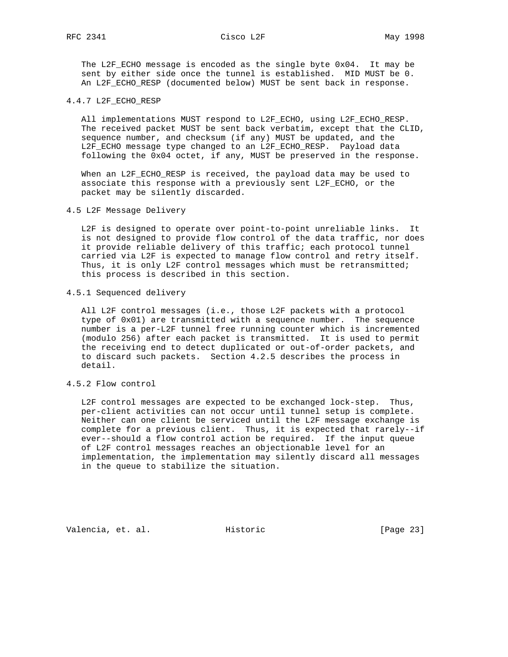The L2F\_ECHO message is encoded as the single byte 0x04. It may be sent by either side once the tunnel is established. MID MUST be 0. An L2F\_ECHO\_RESP (documented below) MUST be sent back in response.

4.4.7 L2F\_ECHO\_RESP

 All implementations MUST respond to L2F\_ECHO, using L2F\_ECHO\_RESP. The received packet MUST be sent back verbatim, except that the CLID, sequence number, and checksum (if any) MUST be updated, and the L2F\_ECHO message type changed to an L2F\_ECHO\_RESP. Payload data following the 0x04 octet, if any, MUST be preserved in the response.

 When an L2F\_ECHO\_RESP is received, the payload data may be used to associate this response with a previously sent L2F\_ECHO, or the packet may be silently discarded.

4.5 L2F Message Delivery

 L2F is designed to operate over point-to-point unreliable links. It is not designed to provide flow control of the data traffic, nor does it provide reliable delivery of this traffic; each protocol tunnel carried via L2F is expected to manage flow control and retry itself. Thus, it is only L2F control messages which must be retransmitted; this process is described in this section.

### 4.5.1 Sequenced delivery

 All L2F control messages (i.e., those L2F packets with a protocol type of 0x01) are transmitted with a sequence number. The sequence number is a per-L2F tunnel free running counter which is incremented (modulo 256) after each packet is transmitted. It is used to permit the receiving end to detect duplicated or out-of-order packets, and to discard such packets. Section 4.2.5 describes the process in detail.

### 4.5.2 Flow control

 L2F control messages are expected to be exchanged lock-step. Thus, per-client activities can not occur until tunnel setup is complete. Neither can one client be serviced until the L2F message exchange is complete for a previous client. Thus, it is expected that rarely--if ever--should a flow control action be required. If the input queue of L2F control messages reaches an objectionable level for an implementation, the implementation may silently discard all messages in the queue to stabilize the situation.

Valencia, et. al. Historic [Page 23]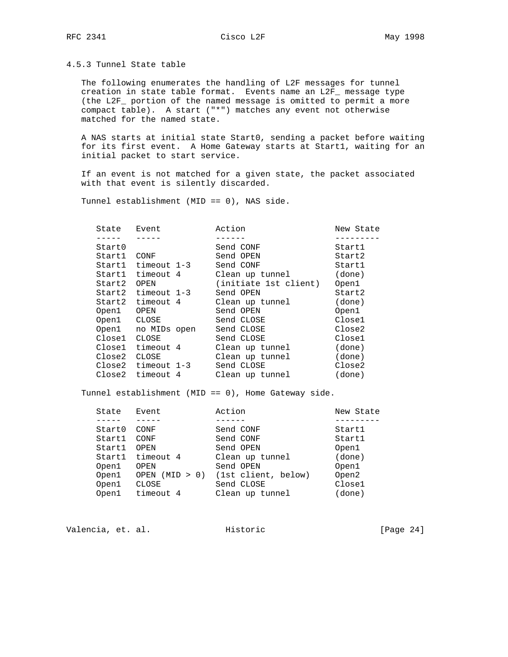# RFC 2341 Cisco L2F Cisco May 1998

4.5.3 Tunnel State table

 The following enumerates the handling of L2F messages for tunnel creation in state table format. Events name an L2F\_ message type (the L2F\_ portion of the named message is omitted to permit a more compact table). A start ("\*") matches any event not otherwise matched for the named state.

 A NAS starts at initial state Start0, sending a packet before waiting for its first event. A Home Gateway starts at Start1, waiting for an initial packet to start service.

 If an event is not matched for a given state, the packet associated with that event is silently discarded.

Tunnel establishment (MID == 0), NAS side.

| State  | Event                  | Action                | New State |
|--------|------------------------|-----------------------|-----------|
|        |                        |                       |           |
| Start0 |                        | Send CONF             | Startl    |
| Start1 | CONF                   | Send OPEN             | Start2    |
|        | Start1 timeout 1-3     | Send CONF             | Start1    |
| Startl | timeout 4              | Clean up tunnel       | (done)    |
| Start2 | OPEN                   | (initiate 1st client) | Open1     |
|        | $Start2$ timeout $1-3$ | Send OPEN             | Start2    |
| Start2 | timeout 4              | Clean up tunnel       | (done)    |
| Open1  | OPEN                   | Send OPEN             | Open1     |
| Open1  | CLOSE                  | Send CLOSE            | Close1    |
| Open1  | no MIDs open           | Send CLOSE            | Close2    |
| Close1 | CLOSE                  | Send CLOSE            | Close1    |
| Close1 | timeout 4              | Clean up tunnel       | (done)    |
| Close2 | CLOSE                  | Clean up tunnel       | (done)    |
|        | Close2 timeout 1-3     | Send CLOSE            | Close2    |
| Close2 | timeout 4              | Clean up tunnel       | (done)    |
|        |                        |                       |           |

Tunnel establishment (MID == 0), Home Gateway side.

| State  | Event             | Action              | New State |
|--------|-------------------|---------------------|-----------|
|        |                   |                     |           |
| Start0 | CONF              | Send CONF           | Start1    |
| Start1 | CONF              | Send CONF           | Start1    |
| Start1 | OPEN              | Send OPEN           | Open1     |
| Start1 | timeout 4         | Clean up tunnel     | (done)    |
| Open1  | OPEN              | Send OPEN           | Open1     |
| Open1  | (MID > 0)<br>OPEN | (1st client, below) | Open2     |
| Open1  | CLOSE             | Send CLOSE          | Close1    |
| Open1  | timeout 4         | Clean up tunnel     | (done)    |

Valencia, et. al. Historic [Page 24]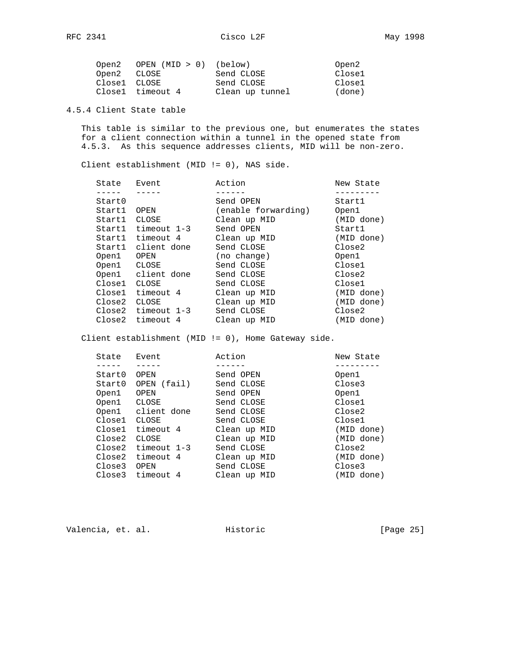| Open2        | OPEN (MID > 0) (below) |                 | Open2  |
|--------------|------------------------|-----------------|--------|
| Open2 CLOSE  |                        | Send CLOSE      | Close1 |
| Close1 CLOSE |                        | Send CLOSE      | Close1 |
|              | Closel timeout 4       | Clean up tunnel | (done) |

# 4.5.4 Client State table

 This table is similar to the previous one, but enumerates the states for a client connection within a tunnel in the opened state from 4.5.3. As this sequence addresses clients, MID will be non-zero.

Client establishment (MID != 0), NAS side.

| State  | Event              | Action              | New State  |
|--------|--------------------|---------------------|------------|
|        |                    |                     |            |
| Start0 |                    | Send OPEN           | Startl     |
| Start1 | OPEN               | (enable forwarding) | Open1      |
| Startl | CLOSE              | Clean up MID        | (MID done) |
|        | Start1 timeout 1-3 | Send OPEN           | Startl     |
| Start1 | timeout 4          | Clean up MID        | (MID done) |
|        | Start1 client done | Send CLOSE          | Close2     |
| Open1  | OPEN               | (no change)         | Open1      |
|        | Open1 CLOSE        | Send CLOSE          | Close1     |
|        | Open1 client done  | Send CLOSE          | Close2     |
| Closel | CLOSE              | Send CLOSE          | Close1     |
| Close1 | timeout 4          | Clean up MID        | (MID done) |
| Close2 | CLOSE              | Clean up MID        | (MID done) |
|        | Close2 timeout 1-3 | Send CLOSE          | Close2     |
| Close2 | timeout 4          | Clean up MID        | (MID done) |
|        |                    |                     |            |

Client establishment (MID != 0), Home Gateway side.

| Event              | Action       | New State  |
|--------------------|--------------|------------|
|                    |              |            |
| OPEN               | Send OPEN    | Open1      |
| OPEN (fail)        | Send CLOSE   | Close3     |
| OPEN               | Send OPEN    | Open1      |
| CLOSE              | Send CLOSE   | Close1     |
| Open1 client done  | Send CLOSE   | Close2     |
| CLOSE              | Send CLOSE   | Close1     |
| timeout 4          | Clean up MID | (MID done) |
| CLOSE              | Clean up MID | (MID done) |
| Close2 timeout 1-3 | Send CLOSE   | Close2     |
| timeout 4          | Clean up MID | (MID done) |
| OPEN               | Send CLOSE   | Close3     |
| Close3 timeout 4   | Clean up MID | (MID done) |
|                    |              |            |

Valencia, et. al. Historic [Page 25]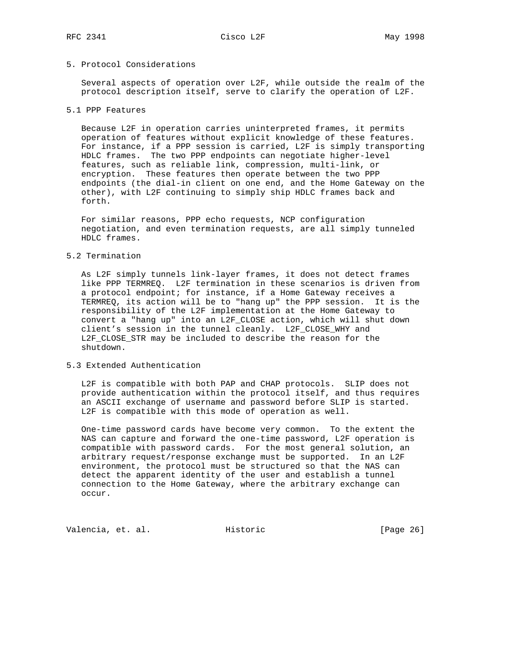# 5. Protocol Considerations

 Several aspects of operation over L2F, while outside the realm of the protocol description itself, serve to clarify the operation of L2F.

### 5.1 PPP Features

 Because L2F in operation carries uninterpreted frames, it permits operation of features without explicit knowledge of these features. For instance, if a PPP session is carried, L2F is simply transporting HDLC frames. The two PPP endpoints can negotiate higher-level features, such as reliable link, compression, multi-link, or encryption. These features then operate between the two PPP endpoints (the dial-in client on one end, and the Home Gateway on the other), with L2F continuing to simply ship HDLC frames back and forth.

 For similar reasons, PPP echo requests, NCP configuration negotiation, and even termination requests, are all simply tunneled HDLC frames.

### 5.2 Termination

 As L2F simply tunnels link-layer frames, it does not detect frames like PPP TERMREQ. L2F termination in these scenarios is driven from a protocol endpoint; for instance, if a Home Gateway receives a TERMREQ, its action will be to "hang up" the PPP session. It is the responsibility of the L2F implementation at the Home Gateway to convert a "hang up" into an L2F\_CLOSE action, which will shut down client's session in the tunnel cleanly. L2F\_CLOSE\_WHY and L2F\_CLOSE\_STR may be included to describe the reason for the shutdown.

### 5.3 Extended Authentication

 L2F is compatible with both PAP and CHAP protocols. SLIP does not provide authentication within the protocol itself, and thus requires an ASCII exchange of username and password before SLIP is started. L2F is compatible with this mode of operation as well.

 One-time password cards have become very common. To the extent the NAS can capture and forward the one-time password, L2F operation is compatible with password cards. For the most general solution, an arbitrary request/response exchange must be supported. In an L2F environment, the protocol must be structured so that the NAS can detect the apparent identity of the user and establish a tunnel connection to the Home Gateway, where the arbitrary exchange can occur.

Valencia, et. al. Historic [Page 26]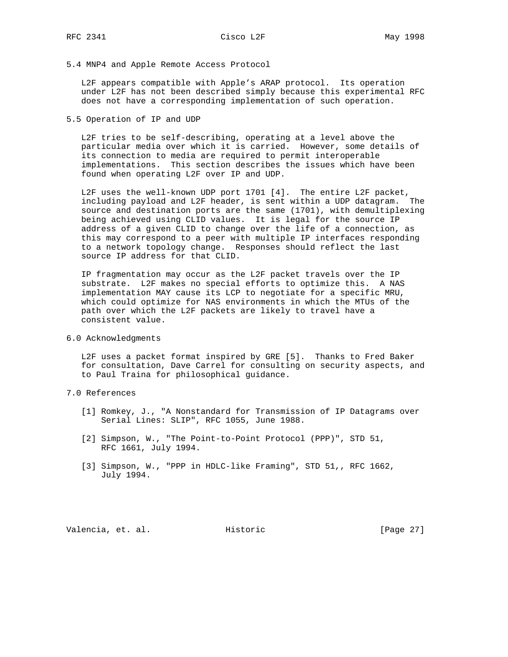### 5.4 MNP4 and Apple Remote Access Protocol

 L2F appears compatible with Apple's ARAP protocol. Its operation under L2F has not been described simply because this experimental RFC does not have a corresponding implementation of such operation.

5.5 Operation of IP and UDP

 L2F tries to be self-describing, operating at a level above the particular media over which it is carried. However, some details of its connection to media are required to permit interoperable implementations. This section describes the issues which have been found when operating L2F over IP and UDP.

 L2F uses the well-known UDP port 1701 [4]. The entire L2F packet, including payload and L2F header, is sent within a UDP datagram. The source and destination ports are the same (1701), with demultiplexing being achieved using CLID values. It is legal for the source IP address of a given CLID to change over the life of a connection, as this may correspond to a peer with multiple IP interfaces responding to a network topology change. Responses should reflect the last source IP address for that CLID.

 IP fragmentation may occur as the L2F packet travels over the IP substrate. L2F makes no special efforts to optimize this. A NAS implementation MAY cause its LCP to negotiate for a specific MRU, which could optimize for NAS environments in which the MTUs of the path over which the L2F packets are likely to travel have a consistent value.

6.0 Acknowledgments

 L2F uses a packet format inspired by GRE [5]. Thanks to Fred Baker for consultation, Dave Carrel for consulting on security aspects, and to Paul Traina for philosophical guidance.

- 7.0 References
	- [1] Romkey, J., "A Nonstandard for Transmission of IP Datagrams over Serial Lines: SLIP", RFC 1055, June 1988.
	- [2] Simpson, W., "The Point-to-Point Protocol (PPP)", STD 51, RFC 1661, July 1994.
	- [3] Simpson, W., "PPP in HDLC-like Framing", STD 51,, RFC 1662, July 1994.

Valencia, et. al. Historic [Page 27]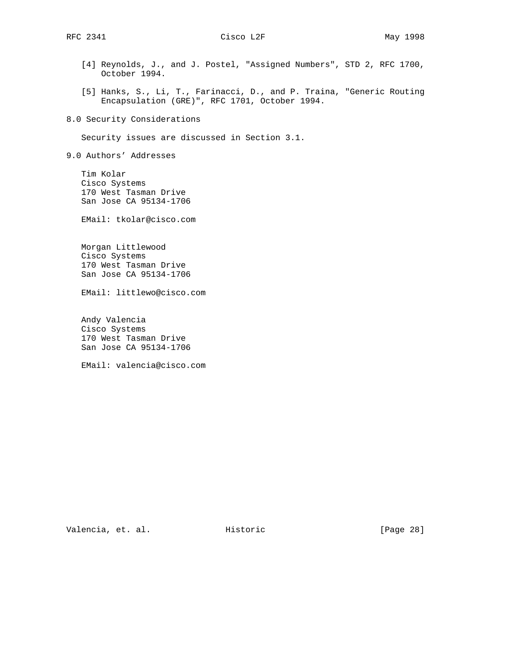- [4] Reynolds, J., and J. Postel, "Assigned Numbers", STD 2, RFC 1700, October 1994.
- [5] Hanks, S., Li, T., Farinacci, D., and P. Traina, "Generic Routing Encapsulation (GRE)", RFC 1701, October 1994.

8.0 Security Considerations

Security issues are discussed in Section 3.1.

9.0 Authors' Addresses

 Tim Kolar Cisco Systems 170 West Tasman Drive San Jose CA 95134-1706

EMail: tkolar@cisco.com

 Morgan Littlewood Cisco Systems 170 West Tasman Drive San Jose CA 95134-1706

EMail: littlewo@cisco.com

 Andy Valencia Cisco Systems 170 West Tasman Drive San Jose CA 95134-1706

EMail: valencia@cisco.com

Valencia, et. al. Historic [Page 28]